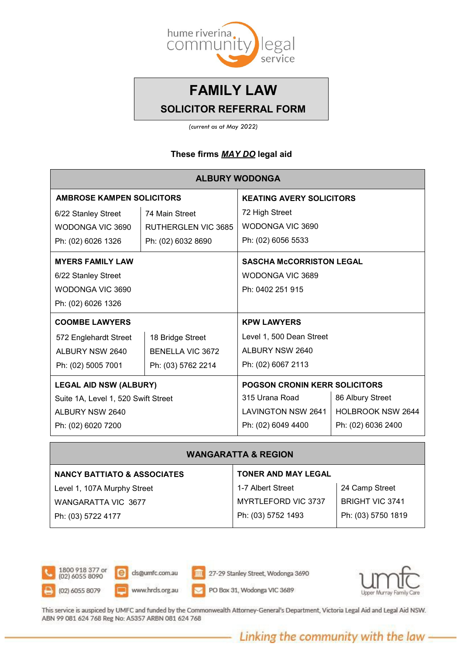

*(current as at May 2022)*

### **These firms** *MAY DO* **legal aid**

| <b>ALBURY WODONGA</b>               |                         |                                      |                          |  |
|-------------------------------------|-------------------------|--------------------------------------|--------------------------|--|
| <b>AMBROSE KAMPEN SOLICITORS</b>    |                         | <b>KEATING AVERY SOLICITORS</b>      |                          |  |
| 6/22 Stanley Street                 | 74 Main Street          | 72 High Street                       |                          |  |
| WODONGA VIC 3690                    | RUTHERGLEN VIC 3685     | WODONGA VIC 3690                     |                          |  |
| Ph: (02) 6026 1326                  | Ph: (02) 6032 8690      | Ph: (02) 6056 5533                   |                          |  |
| <b>MYERS FAMILY LAW</b>             |                         | <b>SASCHA McCORRISTON LEGAL</b>      |                          |  |
| 6/22 Stanley Street                 |                         | WODONGA VIC 3689                     |                          |  |
| WODONGA VIC 3690                    |                         | Ph: 0402 251 915                     |                          |  |
| Ph: (02) 6026 1326                  |                         |                                      |                          |  |
| <b>COOMBE LAWYERS</b>               |                         | <b>KPW LAWYERS</b>                   |                          |  |
| 572 Englehardt Street               | 18 Bridge Street        | Level 1, 500 Dean Street             |                          |  |
| ALBURY NSW 2640                     | <b>BENELLA VIC 3672</b> | ALBURY NSW 2640                      |                          |  |
| Ph: (02) 5005 7001                  | Ph: (03) 5762 2214      | Ph: (02) 6067 2113                   |                          |  |
| <b>LEGAL AID NSW (ALBURY)</b>       |                         | <b>POGSON CRONIN KERR SOLICITORS</b> |                          |  |
| Suite 1A, Level 1, 520 Swift Street |                         | 315 Urana Road                       | 86 Albury Street         |  |
| ALBURY NSW 2640                     |                         | <b>LAVINGTON NSW 2641</b>            | <b>HOLBROOK NSW 2644</b> |  |
| Ph: (02) 6020 7200                  |                         | Ph: (02) 6049 4400                   | Ph: (02) 6036 2400       |  |

#### **WANGARATTA & REGION**

| <b>NANCY BATTIATO &amp; ASSOCIATES</b> | <b>TONER AND MAY LEGAL</b> |                        |
|----------------------------------------|----------------------------|------------------------|
| Level 1, 107A Murphy Street            | 1-7 Albert Street          | 24 Camp Street         |
| WANGARATTA VIC 3677                    | MYRTLEFORD VIC 3737        | <b>BRIGHT VIC 3741</b> |
| Ph: (03) 5722 4177                     | Ph: (03) 5752 1493         | Ph: (03) 5750 1819     |



 $\overline{e}$ cls@umfc.com.au www.hrds.org.au

27-29 Stanley Street, Wodonga 3690

PO Box 31, Wodonga VIC 3689



This service is auspiced by UMFC and funded by the Commonwealth Attorney-General's Department, Victoria Legal Aid and Legal Aid NSW. ABN 99 081 624 768 Reg No: A5357 ARBN 081 624 768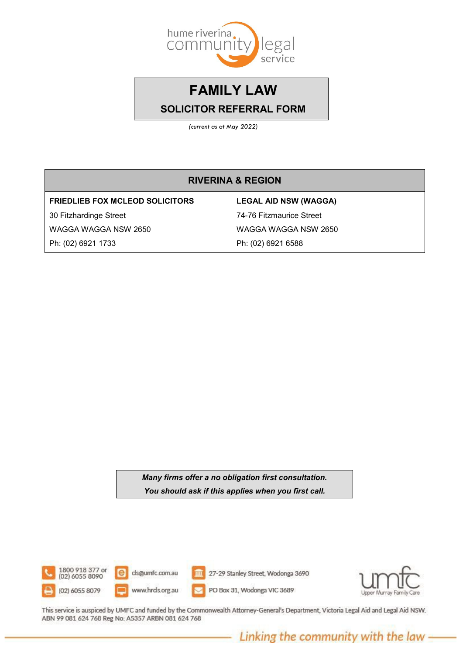

*(current as at May 2022)*

| <b>RIVERINA &amp; REGION</b>           |                              |  |  |  |
|----------------------------------------|------------------------------|--|--|--|
| <b>FRIEDLIEB FOX MCLEOD SOLICITORS</b> | <b>LEGAL AID NSW (WAGGA)</b> |  |  |  |
| 30 Fitzhardinge Street                 | 74-76 Fitzmaurice Street     |  |  |  |
| WAGGA WAGGA NSW 2650                   | WAGGA WAGGA NSW 2650         |  |  |  |
| Ph: (02) 6921 1733                     | Ph: (02) 6921 6588           |  |  |  |

*Many firms offer a no obligation first consultation. You should ask if this applies when you first call.*



This service is auspiced by UMFC and funded by the Commonwealth Attorney-General's Department, Victoria Legal Aid and Legal Aid NSW. ABN 99 081 624 768 Reg No: A5357 ARBN 081 624 768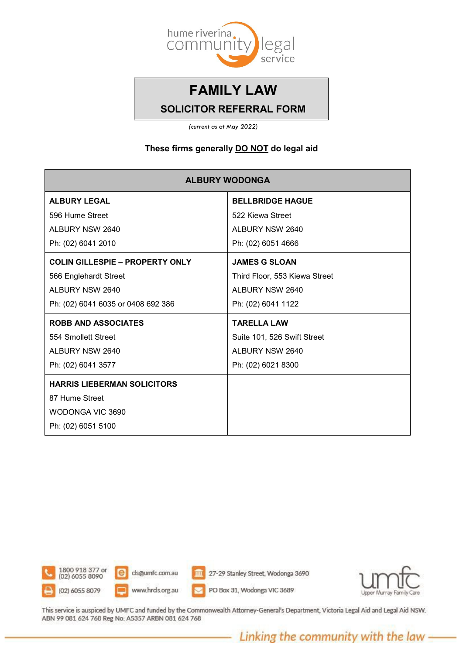

*(current as at May 2022)*

#### **These firms generally DO NOT do legal aid**

| <b>ALBURY WODONGA</b>                  |                               |  |  |
|----------------------------------------|-------------------------------|--|--|
| <b>ALBURY LEGAL</b>                    | <b>BELLBRIDGE HAGUE</b>       |  |  |
| 596 Hume Street                        | 522 Kiewa Street              |  |  |
| ALBURY NSW 2640                        | ALBURY NSW 2640               |  |  |
| Ph: (02) 6041 2010                     | Ph: (02) 6051 4666            |  |  |
| <b>COLIN GILLESPIE - PROPERTY ONLY</b> | <b>JAMES G SLOAN</b>          |  |  |
| 566 Englehardt Street                  | Third Floor, 553 Kiewa Street |  |  |
| ALBURY NSW 2640                        | ALBURY NSW 2640               |  |  |
| Ph: (02) 6041 6035 or 0408 692 386     | Ph: (02) 6041 1122            |  |  |
| <b>ROBB AND ASSOCIATES</b>             | <b>TARELLA LAW</b>            |  |  |
| 554 Smollett Street                    | Suite 101, 526 Swift Street   |  |  |
| ALBURY NSW 2640                        | ALBURY NSW 2640               |  |  |
| Ph: (02) 6041 3577                     | Ph: (02) 6021 8300            |  |  |
| <b>HARRIS LIEBERMAN SOLICITORS</b>     |                               |  |  |
| 87 Hume Street                         |                               |  |  |
| WODONGA VIC 3690                       |                               |  |  |
| Ph: (02) 6051 5100                     |                               |  |  |



This service is auspiced by UMFC and funded by the Commonwealth Attorney-General's Department, Victoria Legal Aid and Legal Aid NSW. ABN 99 081 624 768 Reg No: A5357 ARBN 081 624 768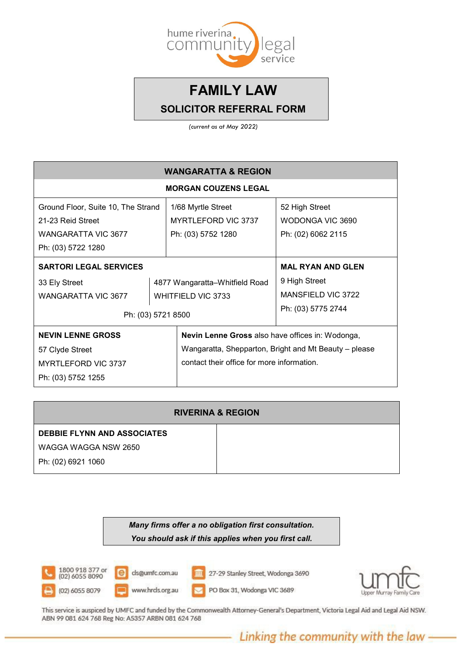

*(current as at May 2022)*

| <b>WANGARATTA &amp; REGION</b>                                                                                    |  |                                                                                                                                                                |                                                                                       |  |  |
|-------------------------------------------------------------------------------------------------------------------|--|----------------------------------------------------------------------------------------------------------------------------------------------------------------|---------------------------------------------------------------------------------------|--|--|
| <b>MORGAN COUZENS LEGAL</b>                                                                                       |  |                                                                                                                                                                |                                                                                       |  |  |
| Ground Floor, Suite 10, The Strand<br>21-23 Reid Street<br><b>WANGARATTA VIC 3677</b>                             |  | 1/68 Myrtle Street<br><b>MYRTLEFORD VIC 3737</b><br>Ph: (03) 5752 1280                                                                                         | 52 High Street<br>WODONGA VIC 3690<br>Ph: (02) 6062 2115                              |  |  |
| Ph: (03) 5722 1280<br><b>SARTORI LEGAL SERVICES</b><br>33 Ely Street<br>WANGARATTA VIC 3677<br>Ph: (03) 5721 8500 |  | 4877 Wangaratta-Whitfield Road<br><b>WHITFIELD VIC 3733</b>                                                                                                    | <b>MAL RYAN AND GLEN</b><br>9 High Street<br>MANSFIELD VIC 3722<br>Ph: (03) 5775 2744 |  |  |
| <b>NEVIN LENNE GROSS</b><br>57 Clyde Street<br><b>MYRTLEFORD VIC 3737</b><br>Ph: (03) 5752 1255                   |  | <b>Nevin Lenne Gross</b> also have offices in: Wodonga,<br>Wangaratta, Shepparton, Bright and Mt Beauty - please<br>contact their office for more information. |                                                                                       |  |  |

| <b>RIVERINA &amp; REGION</b>       |  |  |
|------------------------------------|--|--|
| <b>DEBBIE FLYNN AND ASSOCIATES</b> |  |  |
| WAGGA WAGGA NSW 2650               |  |  |
| Ph: (02) 6921 1060                 |  |  |

*Many firms offer a no obligation first consultation. You should ask if this applies when you first call.*



This service is auspiced by UMFC and funded by the Commonwealth Attorney-General's Department, Victoria Legal Aid and Legal Aid NSW. ABN 99 081 624 768 Reg No: A5357 ARBN 081 624 768